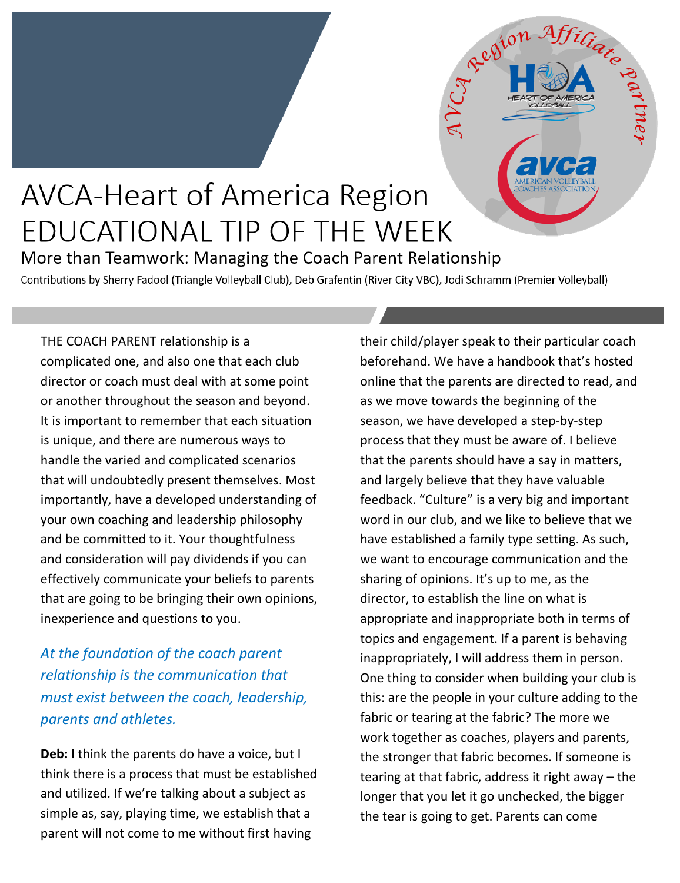## **AVCA-Heart of America Region** EDUCATIONAL TIP OF THE WEEK

More than Teamwork: Managing the Coach Parent Relationship

Contributions by Sherry Fadool (Triangle Volleyball Club), Deb Grafentin (River City VBC), Jodi Schramm (Premier Volleyball)

THE COACH PARENT relationship is a complicated one, and also one that each club director or coach must deal with at some point or another throughout the season and beyond. It is important to remember that each situation is unique, and there are numerous ways to handle the varied and complicated scenarios that will undoubtedly present themselves. Most importantly, have a developed understanding of your own coaching and leadership philosophy and be committed to it. Your thoughtfulness and consideration will pay dividends if you can effectively communicate your beliefs to parents that are going to be bringing their own opinions, inexperience and questions to you.

## *At the foundation of the coach parent relationship is the communication that must exist between the coach, leadership, parents and athletes.*

**Deb:** I think the parents do have a voice, but I think there is a process that must be established and utilized. If we're talking about a subject as simple as, say, playing time, we establish that a parent will not come to me without first having

their child/player speak to their particular coach beforehand. We have a handbook that's hosted online that the parents are directed to read, and as we move towards the beginning of the season, we have developed a step-by-step process that they must be aware of. I believe that the parents should have a say in matters, and largely believe that they have valuable feedback. "Culture" is a very big and important word in our club, and we like to believe that we have established a family type setting. As such, we want to encourage communication and the sharing of opinions. It's up to me, as the director, to establish the line on what is appropriate and inappropriate both in terms of topics and engagement. If a parent is behaving inappropriately, I will address them in person. One thing to consider when building your club is this: are the people in your culture adding to the fabric or tearing at the fabric? The more we work together as coaches, players and parents, the stronger that fabric becomes. If someone is tearing at that fabric, address it right away – the longer that you let it go unchecked, the bigger the tear is going to get. Parents can come

Region Afficiation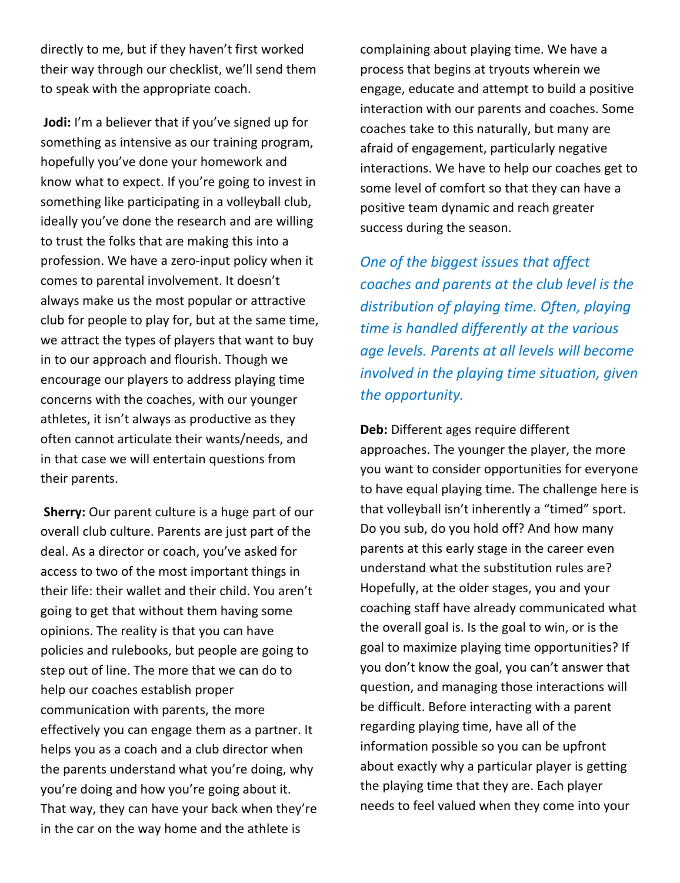directly to me, but if they haven't first worked their way through our checklist, we'll send them to speak with the appropriate coach.

**Jodi:** I'm a believer that if you've signed up for something as intensive as our training program, hopefully you've done your homework and know what to expect. If you're going to invest in something like participating in a volleyball club, ideally you've done the research and are willing to trust the folks that are making this into a profession. We have a zero-input policy when it comes to parental involvement. It doesn't always make us the most popular or attractive club for people to play for, but at the same time, we attract the types of players that want to buy in to our approach and flourish. Though we encourage our players to address playing time concerns with the coaches, with our younger athletes, it isn't always as productive as they often cannot articulate their wants/needs, and in that case we will entertain questions from their parents.

**Sherry:** Our parent culture is a huge part of our overall club culture. Parents are just part of the deal. As a director or coach, you've asked for access to two of the most important things in their life: their wallet and their child. You aren't going to get that without them having some opinions. The reality is that you can have policies and rulebooks, but people are going to step out of line. The more that we can do to help our coaches establish proper communication with parents, the more effectively you can engage them as a partner. It helps you as a coach and a club director when the parents understand what you're doing, why you're doing and how you're going about it. That way, they can have your back when they're in the car on the way home and the athlete is

complaining about playing time. We have a process that begins at tryouts wherein we engage, educate and attempt to build a positive interaction with our parents and coaches. Some coaches take to this naturally, but many are afraid of engagement, particularly negative interactions. We have to help our coaches get to some level of comfort so that they can have a positive team dynamic and reach greater success during the season.

*One of the biggest issues that affect coaches and parents at the club level is the distribution of playing time. Often, playing time is handled differently at the various age levels. Parents at all levels will become involved in the playing time situation, given the opportunity.* 

**Deb:** Different ages require different approaches. The younger the player, the more you want to consider opportunities for everyone to have equal playing time. The challenge here is that volleyball isn't inherently a "timed" sport. Do you sub, do you hold off? And how many parents at this early stage in the career even understand what the substitution rules are? Hopefully, at the older stages, you and your coaching staff have already communicated what the overall goal is. Is the goal to win, or is the goal to maximize playing time opportunities? If you don't know the goal, you can't answer that question, and managing those interactions will be difficult. Before interacting with a parent regarding playing time, have all of the information possible so you can be upfront about exactly why a particular player is getting the playing time that they are. Each player needs to feel valued when they come into your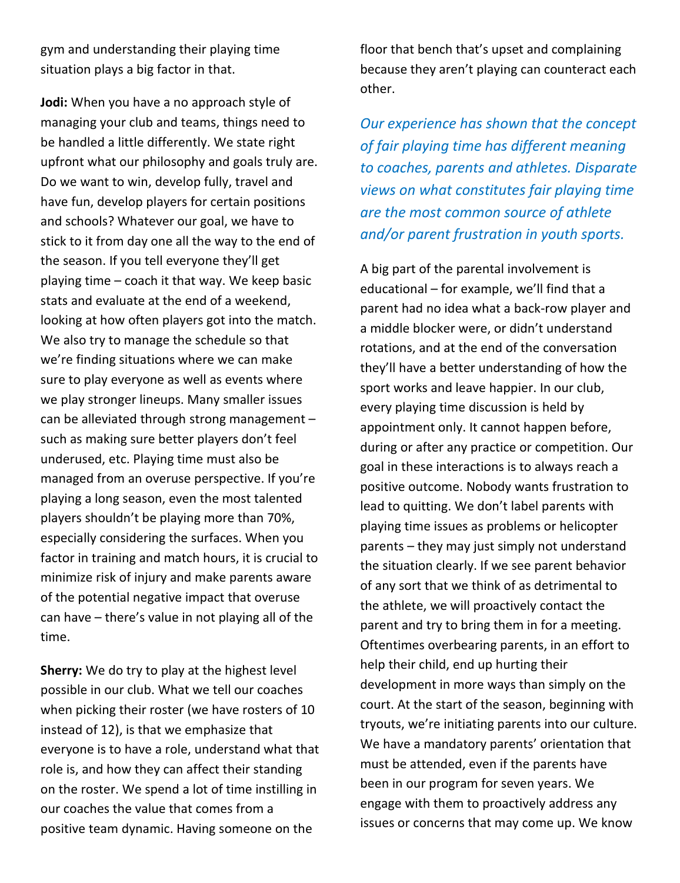gym and understanding their playing time situation plays a big factor in that.

**Jodi:** When you have a no approach style of managing your club and teams, things need to be handled a little differently. We state right upfront what our philosophy and goals truly are. Do we want to win, develop fully, travel and have fun, develop players for certain positions and schools? Whatever our goal, we have to stick to it from day one all the way to the end of the season. If you tell everyone they'll get playing time – coach it that way. We keep basic stats and evaluate at the end of a weekend, looking at how often players got into the match. We also try to manage the schedule so that we're finding situations where we can make sure to play everyone as well as events where we play stronger lineups. Many smaller issues can be alleviated through strong management – such as making sure better players don't feel underused, etc. Playing time must also be managed from an overuse perspective. If you're playing a long season, even the most talented players shouldn't be playing more than 70%, especially considering the surfaces. When you factor in training and match hours, it is crucial to minimize risk of injury and make parents aware of the potential negative impact that overuse can have – there's value in not playing all of the time.

**Sherry:** We do try to play at the highest level possible in our club. What we tell our coaches when picking their roster (we have rosters of 10 instead of 12), is that we emphasize that everyone is to have a role, understand what that role is, and how they can affect their standing on the roster. We spend a lot of time instilling in our coaches the value that comes from a positive team dynamic. Having someone on the

floor that bench that's upset and complaining because they aren't playing can counteract each other.

*Our experience has shown that the concept of fair playing time has different meaning to coaches, parents and athletes. Disparate views on what constitutes fair playing time are the most common source of athlete and/or parent frustration in youth sports.* 

A big part of the parental involvement is educational – for example, we'll find that a parent had no idea what a back-row player and a middle blocker were, or didn't understand rotations, and at the end of the conversation they'll have a better understanding of how the sport works and leave happier. In our club, every playing time discussion is held by appointment only. It cannot happen before, during or after any practice or competition. Our goal in these interactions is to always reach a positive outcome. Nobody wants frustration to lead to quitting. We don't label parents with playing time issues as problems or helicopter parents – they may just simply not understand the situation clearly. If we see parent behavior of any sort that we think of as detrimental to the athlete, we will proactively contact the parent and try to bring them in for a meeting. Oftentimes overbearing parents, in an effort to help their child, end up hurting their development in more ways than simply on the court. At the start of the season, beginning with tryouts, we're initiating parents into our culture. We have a mandatory parents' orientation that must be attended, even if the parents have been in our program for seven years. We engage with them to proactively address any issues or concerns that may come up. We know